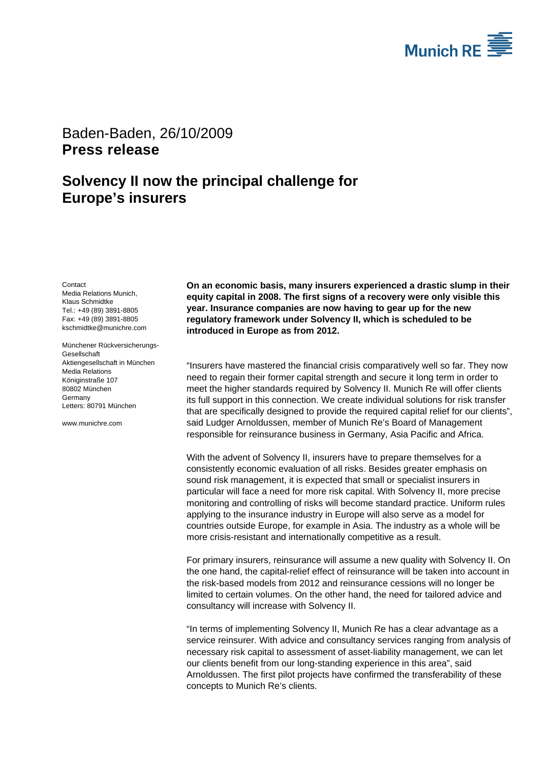

## Baden-Baden, 26/10/2009 **Press release**

## **Solvency II now the principal challenge for Europe's insurers**

**Contact** 

Media Relations Munich, Klaus Schmidtke Tel.: +49 (89) 3891-8805 Fax: +49 (89) 3891-8805 kschmidtke@munichre.com

Münchener Rückversicherungs-**Gesellschaft** Aktiengesellschaft in München Media Relations Königinstraße 107 80802 München Germany Letters: 80791 München

www.munichre.com

**On an economic basis, many insurers experienced a drastic slump in their equity capital in 2008. The first signs of a recovery were only visible this year. Insurance companies are now having to gear up for the new regulatory framework under Solvency II, which is scheduled to be introduced in Europe as from 2012.**

"Insurers have mastered the financial crisis comparatively well so far. They now need to regain their former capital strength and secure it long term in order to meet the higher standards required by Solvency II. Munich Re will offer clients its full support in this connection. We create individual solutions for risk transfer that are specifically designed to provide the required capital relief for our clients", said Ludger Arnoldussen, member of Munich Re's Board of Management responsible for reinsurance business in Germany, Asia Pacific and Africa.

With the advent of Solvency II, insurers have to prepare themselves for a consistently economic evaluation of all risks. Besides greater emphasis on sound risk management, it is expected that small or specialist insurers in particular will face a need for more risk capital. With Solvency II, more precise monitoring and controlling of risks will become standard practice. Uniform rules applying to the insurance industry in Europe will also serve as a model for countries outside Europe, for example in Asia. The industry as a whole will be more crisis-resistant and internationally competitive as a result.

For primary insurers, reinsurance will assume a new quality with Solvency II. On the one hand, the capital-relief effect of reinsurance will be taken into account in the risk-based models from 2012 and reinsurance cessions will no longer be limited to certain volumes. On the other hand, the need for tailored advice and consultancy will increase with Solvency II.

"In terms of implementing Solvency II, Munich Re has a clear advantage as a service reinsurer. With advice and consultancy services ranging from analysis of necessary risk capital to assessment of asset-liability management, we can let our clients benefit from our long-standing experience in this area", said Arnoldussen. The first pilot projects have confirmed the transferability of these concepts to Munich Re's clients.